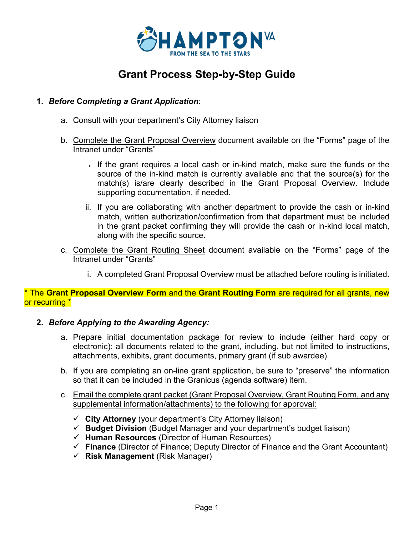

# **Grant Process Step-by-Step Guide**

### **1.** *Before* **C***ompleting a Grant Application*:

- a. Consult with your department's City Attorney liaison
- b. Complete the Grant Proposal Overview document available on the "Forms" page of the Intranet under "Grants"
	- i. If the grant requires a local cash or in-kind match, make sure the funds or the source of the in-kind match is currently available and that the source(s) for the match(s) is/are clearly described in the Grant Proposal Overview. Include supporting documentation, if needed.
	- ii. If you are collaborating with another department to provide the cash or in-kind match, written authorization/confirmation from that department must be included in the grant packet confirming they will provide the cash or in-kind local match, along with the specific source.
- c. Complete the Grant Routing Sheet document available on the "Forms" page of the Intranet under "Grants"
	- i. A completed Grant Proposal Overview must be attached before routing is initiated.

\* The **Grant Proposal Overview Form** and the **Grant Routing Form** are required for all grants, new or recurring \*

#### **2.** *Before Applying to the Awarding Agency:*

- a. Prepare initial documentation package for review to include (either hard copy or electronic): all documents related to the grant, including, but not limited to instructions, attachments, exhibits, grant documents, primary grant (if sub awardee).
- b. If you are completing an on-line grant application, be sure to "preserve" the information so that it can be included in the Granicus (agenda software) item.
- c. Email the complete grant packet (Grant Proposal Overview, Grant Routing Form, and any supplemental information/attachments) to the following for approval:
	- **City Attorney** (your department's City Attorney liaison)
	- **Budget Division** (Budget Manager and your department's budget liaison)
	- **Human Resources** (Director of Human Resources)
	- **Finance** (Director of Finance; Deputy Director of Finance and the Grant Accountant)
	- **Risk Management** (Risk Manager)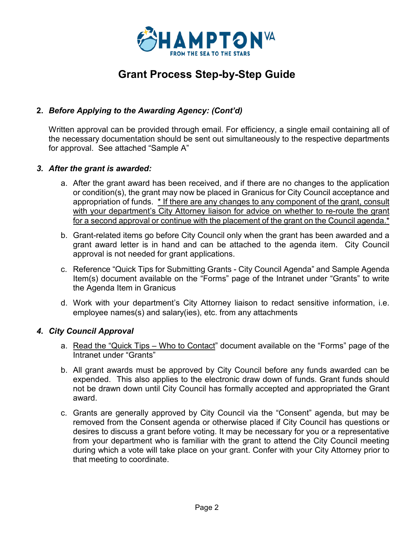

# **Grant Process Step-by-Step Guide**

## **2.** *Before Applying to the Awarding Agency: (Cont'd)*

Written approval can be provided through email. For efficiency, a single email containing all of the necessary documentation should be sent out simultaneously to the respective departments for approval. See attached "Sample A"

### *3. After the grant is awarded:*

- a. After the grant award has been received, and if there are no changes to the application or condition(s), the grant may now be placed in Granicus for City Council acceptance and appropriation of funds. \* If there are any changes to any component of the grant, consult with your department's City Attorney liaison for advice on whether to re-route the grant for a second approval or continue with the placement of the grant on the Council agenda.\*
- b. Grant-related items go before City Council only when the grant has been awarded and a grant award letter is in hand and can be attached to the agenda item. City Council approval is not needed for grant applications.
- c. Reference "Quick Tips for Submitting Grants City Council Agenda" and Sample Agenda Item(s) document available on the "Forms" page of the Intranet under "Grants" to write the Agenda Item in Granicus
- d. Work with your department's City Attorney liaison to redact sensitive information, i.e. employee names(s) and salary(ies), etc. from any attachments

## *4. City Council Approval*

- a. Read the "Quick Tips Who to Contact" document available on the "Forms" page of the Intranet under "Grants"
- b. All grant awards must be approved by City Council before any funds awarded can be expended. This also applies to the electronic draw down of funds. Grant funds should not be drawn down until City Council has formally accepted and appropriated the Grant award.
- c. Grants are generally approved by City Council via the "Consent" agenda, but may be removed from the Consent agenda or otherwise placed if City Council has questions or desires to discuss a grant before voting. It may be necessary for you or a representative from your department who is familiar with the grant to attend the City Council meeting during which a vote will take place on your grant. Confer with your City Attorney prior to that meeting to coordinate.